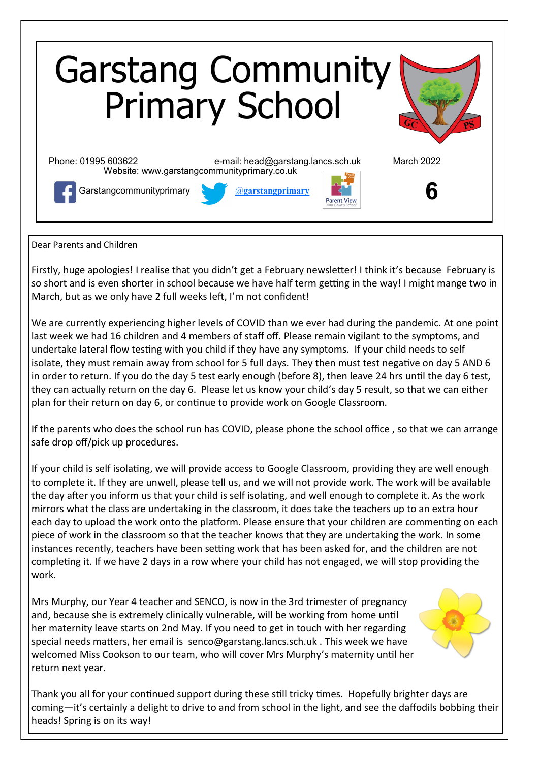

Dear Parents and Children

Firstly, huge apologies! I realise that you didn't get a February newsletter! I think it's because February is so short and is even shorter in school because we have half term getting in the way! I might mange two in March, but as we only have 2 full weeks left, I'm not confident!

We are currently experiencing higher levels of COVID than we ever had during the pandemic. At one point last week we had 16 children and 4 members of staff off. Please remain vigilant to the symptoms, and undertake lateral flow testing with you child if they have any symptoms. If your child needs to self isolate, they must remain away from school for 5 full days. They then must test negative on day 5 AND 6 in order to return. If you do the day 5 test early enough (before 8), then leave 24 hrs until the day 6 test, they can actually return on the day 6. Please let us know your child's day 5 result, so that we can either plan for their return on day 6, or continue to provide work on Google Classroom.

If the parents who does the school run has COVID, please phone the school office , so that we can arrange safe drop off/pick up procedures.

If your child is self isolating, we will provide access to Google Classroom, providing they are well enough to complete it. If they are unwell, please tell us, and we will not provide work. The work will be available the day after you inform us that your child is self isolating, and well enough to complete it. As the work mirrors what the class are undertaking in the classroom, it does take the teachers up to an extra hour each day to upload the work onto the platform. Please ensure that your children are commenting on each piece of work in the classroom so that the teacher knows that they are undertaking the work. In some instances recently, teachers have been setting work that has been asked for, and the children are not completing it. If we have 2 days in a row where your child has not engaged, we will stop providing the work.

Mrs Murphy, our Year 4 teacher and SENCO, is now in the 3rd trimester of pregnancy and, because she is extremely clinically vulnerable, will be working from home until her maternity leave starts on 2nd May. If you need to get in touch with her regarding special needs matters, her email is senco@garstang.lancs.sch.uk . This week we have welcomed Miss Cookson to our team, who will cover Mrs Murphy's maternity until her return next year.

Thank you all for your continued support during these still tricky times. Hopefully brighter days are coming—it's certainly a delight to drive to and from school in the light, and see the daffodils bobbing their heads! Spring is on its way!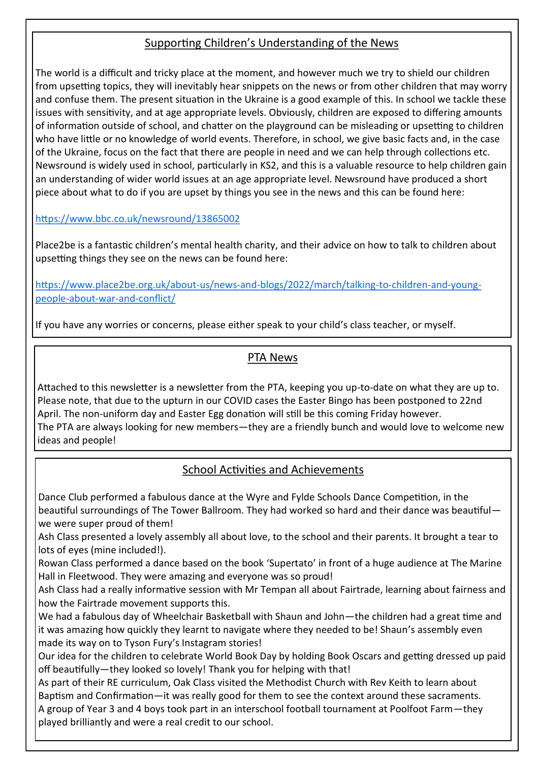# Supporting Children's Understanding of the News

The world is a difficult and tricky place at the moment, and however much we try to shield our children from upsetting topics, they will inevitably hear snippets on the news or from other children that may worry and confuse them. The present situation in the Ukraine is a good example of this. In school we tackle these issues with sensitivity, and at age appropriate levels. Obviously, children are exposed to differing amounts of information outside of school, and chatter on the playground can be misleading or upsetting to children who have little or no knowledge of world events. Therefore, in school, we give basic facts and, in the case of the Ukraine, focus on the fact that there are people in need and we can help through collections etc. Newsround is widely used in school, particularly in KS2, and this is a valuable resource to help children gain an understanding of wider world issues at an age appropriate level. Newsround have produced a short piece about what to do if you are upset by things you see in the news and this can be found here:

### <https://www.bbc.co.uk/newsround/13865002>

Place2be is a fantastic children's mental health charity, and their advice on how to talk to children about upsetting things they see on the news can be found here:

[https://www.place2be.org.uk/about](https://www.place2be.org.uk/about-us/news-and-blogs/2022/march/talking-to-children-and-young-people-about-war-and-conflict/)-us/news-and-blogs/2022/march/talking-to-children-and-youngpeople-about-war-and-[conflict/](https://www.place2be.org.uk/about-us/news-and-blogs/2022/march/talking-to-children-and-young-people-about-war-and-conflict/)

If you have any worries or concerns, please either speak to your child's class teacher, or myself.

# PTA News

Attached to this newsletter is a newsletter from the PTA, keeping you up-to-date on what they are up to. Please note, that due to the upturn in our COVID cases the Easter Bingo has been postponed to 22nd April. The non-uniform day and Easter Egg donation will still be this coming Friday however. The PTA are always looking for new members—they are a friendly bunch and would love to welcome new ideas and people!

# School Activities and Achievements

Dance Club performed a fabulous dance at the Wyre and Fylde Schools Dance Competition, in the beautiful surroundings of The Tower Ballroom. They had worked so hard and their dance was beautiful we were super proud of them!

Ash Class presented a lovely assembly all about love, to the school and their parents. It brought a tear to lots of eyes (mine included!).

Rowan Class performed a dance based on the book 'Supertato' in front of a huge audience at The Marine Hall in Fleetwood. They were amazing and everyone was so proud!

Ash Class had a really informative session with Mr Tempan all about Fairtrade, learning about fairness and how the Fairtrade movement supports this.

We had a fabulous day of Wheelchair Basketball with Shaun and John—the children had a great time and it was amazing how quickly they learnt to navigate where they needed to be! Shaun's assembly even made its way on to Tyson Fury's Instagram stories!

Our idea for the children to celebrate World Book Day by holding Book Oscars and getting dressed up paid off beautifully—they looked so lovely! Thank you for helping with that!

As part of their RE curriculum, Oak Class visited the Methodist Church with Rev Keith to learn about Baptism and Confirmation—it was really good for them to see the context around these sacraments. A group of Year 3 and 4 boys took part in an interschool football tournament at Poolfoot Farm—they played brilliantly and were a real credit to our school.